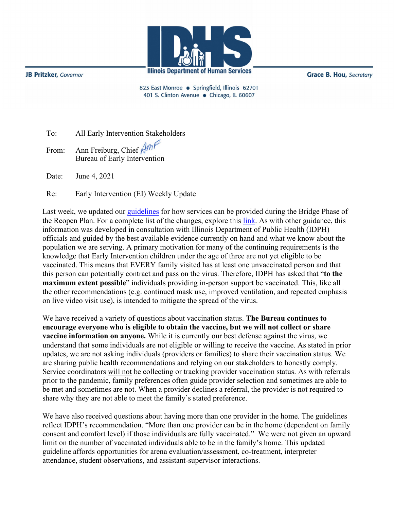**Illinois Department of Human Services** 

**JB Pritzker**, Governor

**Grace B. Hou, Secretary** 

823 East Monroe · Springfield, Illinois 62701 401 S. Clinton Avenue · Chicago, IL 60607

To: All Early Intervention Stakeholders

From: Ann Freiburg, Chief Am Bureau of Early Intervention

Date: June 4, 2021

Re: Early Intervention (EI) Weekly Update

Last week, we updated our [guidelines](http://www.wiu.edu/coehs/provider_connections/pdf/20210528%20Revised%20Guidance%20During%20Bridge%20Phase%20Final.pdf) for how services can be provided during the Bridge Phase of the Reopen Plan. For a complete list of the changes, explore this [link.](https://eitp.education.illinois.edu/Files/COVID19/ChangestoEIPlan.pdf) As with other guidance, this information was developed in consultation with Illinois Department of Public Health (IDPH) officials and guided by the best available evidence currently on hand and what we know about the population we are serving. A primary motivation for many of the continuing requirements is the knowledge that Early Intervention children under the age of three are not yet eligible to be vaccinated. This means that EVERY family visited has at least one unvaccinated person and that this person can potentially contract and pass on the virus. Therefore, IDPH has asked that "**to the maximum extent possible**" individuals providing in-person support be vaccinated. This, like all the other recommendations (e.g. continued mask use, improved ventilation, and repeated emphasis on live video visit use), is intended to mitigate the spread of the virus.

We have received a variety of questions about vaccination status. **The Bureau continues to encourage everyone who is eligible to obtain the vaccine, but we will not collect or share vaccine information on anyone.** While it is currently our best defense against the virus, we understand that some individuals are not eligible or willing to receive the vaccine. As stated in prior updates, we are not asking individuals (providers or families) to share their vaccination status. We are sharing public health recommendations and relying on our stakeholders to honestly comply. Service coordinators will not be collecting or tracking provider vaccination status. As with referrals prior to the pandemic, family preferences often guide provider selection and sometimes are able to be met and sometimes are not. When a provider declines a referral, the provider is not required to share why they are not able to meet the family's stated preference.

We have also received questions about having more than one provider in the home. The guidelines reflect IDPH's recommendation. "More than one provider can be in the home (dependent on family consent and comfort level) if those individuals are fully vaccinated." We were not given an upward limit on the number of vaccinated individuals able to be in the family's home. This updated guideline affords opportunities for arena evaluation/assessment, co-treatment, interpreter attendance, student observations, and assistant-supervisor interactions.